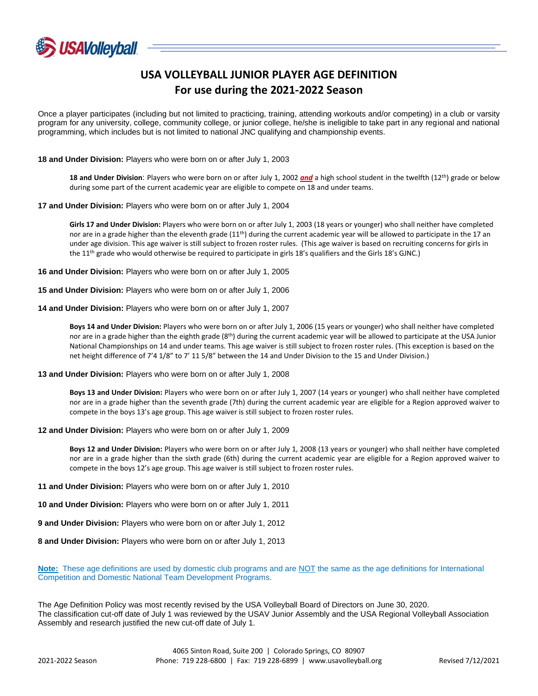

## **USA VOLLEYBALL JUNIOR PLAYER AGE DEFINITION For use during the 2021-2022 Season**

Once a player participates (including but not limited to practicing, training, attending workouts and/or competing) in a club or varsity program for any university, college, community college, or junior college, he/she is ineligible to take part in any regional and national programming, which includes but is not limited to national JNC qualifying and championship events.

**18 and Under Division:** Players who were born on or after July 1, 2003

**18 and Under Division**: Players who were born on or after July 1, 2002 *and* a high school student in the twelfth (12th) grade or below during some part of the current academic year are eligible to compete on 18 and under teams.

**17 and Under Division:** Players who were born on or after July 1, 2004

**Girls 17 and Under Division:** Players who were born on or after July 1, 2003 (18 years or younger) who shall neither have completed nor are in a grade higher than the eleventh grade  $(11<sup>th</sup>)$  during the current academic year will be allowed to participate in the 17 an under age division. This age waiver is still subject to frozen roster rules. (This age waiver is based on recruiting concerns for girls in the 11<sup>th</sup> grade who would otherwise be required to participate in girls 18's qualifiers and the Girls 18's GJNC.)

**16 and Under Division:** Players who were born on or after July 1, 2005

**15 and Under Division:** Players who were born on or after July 1, 2006

**14 and Under Division:** Players who were born on or after July 1, 2007

**Boys 14 and Under Division:** Players who were born on or after July 1, 2006 (15 years or younger) who shall neither have completed nor are in a grade higher than the eighth grade  $(8<sup>th</sup>)$  during the current academic year will be allowed to participate at the USA Junior National Championships on 14 and under teams. This age waiver is still subject to frozen roster rules. (This exception is based on the net height difference of 7'4 1/8" to 7' 11 5/8" between the 14 and Under Division to the 15 and Under Division.)

## **13 and Under Division:** Players who were born on or after July 1, 2008

**Boys 13 and Under Division:** Players who were born on or after July 1, 2007 (14 years or younger) who shall neither have completed nor are in a grade higher than the seventh grade (7th) during the current academic year are eligible for a Region approved waiver to compete in the boys 13's age group. This age waiver is still subject to frozen roster rules.

**12 and Under Division:** Players who were born on or after July 1, 2009

**Boys 12 and Under Division:** Players who were born on or after July 1, 2008 (13 years or younger) who shall neither have completed nor are in a grade higher than the sixth grade (6th) during the current academic year are eligible for a Region approved waiver to compete in the boys 12's age group. This age waiver is still subject to frozen roster rules.

**11 and Under Division:** Players who were born on or after July 1, 2010

**10 and Under Division:** Players who were born on or after July 1, 2011

**9 and Under Division:** Players who were born on or after July 1, 2012

**8 and Under Division:** Players who were born on or after July 1, 2013

**Note:** These age definitions are used by domestic club programs and are NOT the same as the age definitions for International Competition and Domestic National Team Development Programs.

The Age Definition Policy was most recently revised by the USA Volleyball Board of Directors on June 30, 2020. The classification cut-off date of July 1 was reviewed by the USAV Junior Assembly and the USA Regional Volleyball Association Assembly and research justified the new cut-off date of July 1.